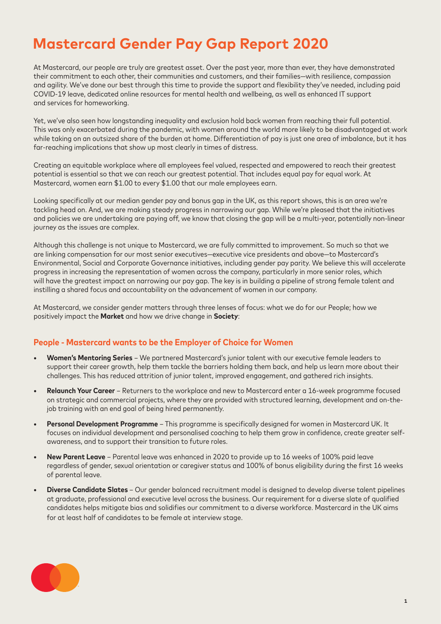# **Mastercard Gender Pay Gap Report 2020**

At Mastercard, our people are truly are greatest asset. Over the past year, more than ever, they have demonstrated their commitment to each other, their communities and customers, and their families—with resilience, compassion and agility. We've done our best through this time to provide the support and flexibility they've needed, including paid COVID-19 leave, dedicated online resources for mental health and wellbeing, as well as enhanced IT support and services for homeworking.

Yet, we've also seen how longstanding inequality and exclusion hold back women from reaching their full potential. This was only exacerbated during the pandemic, with women around the world more likely to be disadvantaged at work while taking on an outsized share of the burden at home. Differentiation of pay is just one area of imbalance, but it has far-reaching implications that show up most clearly in times of distress.

Creating an equitable workplace where all employees feel valued, respected and empowered to reach their greatest potential is essential so that we can reach our greatest potential. That includes equal pay for equal work. At Mastercard, women earn \$1.00 to every \$1.00 that our male employees earn.

Looking specifically at our median gender pay and bonus gap in the UK, as this report shows, this is an area we're tackling head on. And, we are making steady progress in narrowing our gap. While we're pleased that the initiatives and policies we are undertaking are paying off, we know that closing the gap will be a multi-year, potentially non-linear journey as the issues are complex.

Although this challenge is not unique to Mastercard, we are fully committed to improvement. So much so that we are linking compensation for our most senior executives—executive vice presidents and above—to Mastercard's Environmental, Social and Corporate Governance initiatives, including gender pay parity. We believe this will accelerate progress in increasing the representation of women across the company, particularly in more senior roles, which will have the greatest impact on narrowing our pay gap. The key is in building a pipeline of strong female talent and instilling a shared focus and accountability on the advancement of women in our company.

At Mastercard, we consider gender matters through three lenses of focus: what we do for our People; how we positively impact the **Market** and how we drive change in **Society**:

#### **People - Mastercard wants to be the Employer of Choice for Women**

- **• Women's Mentoring Series** We partnered Mastercard's junior talent with our executive female leaders to support their career growth, help them tackle the barriers holding them back, and help us learn more about their challenges. This has reduced attrition of junior talent, improved engagement, and gathered rich insights.
- **• Relaunch Your Career** Returners to the workplace and new to Mastercard enter a 16-week programme focused on strategic and commercial projects, where they are provided with structured learning, development and on-thejob training with an end goal of being hired permanently.
- **• Personal Development Programme** This programme is specifically designed for women in Mastercard UK. It focuses on individual development and personalised coaching to help them grow in confidence, create greater selfawareness, and to support their transition to future roles.
- **• New Parent Leave** Parental leave was enhanced in 2020 to provide up to 16 weeks of 100% paid leave regardless of gender, sexual orientation or caregiver status and 100% of bonus eligibility during the first 16 weeks of parental leave.
- **• Diverse Candidate Slates**  Our gender balanced recruitment model is designed to develop diverse talent pipelines at graduate, professional and executive level across the business. Our requirement for a diverse slate of qualified candidates helps mitigate bias and solidifies our commitment to a diverse workforce. Mastercard in the UK aims for at least half of candidates to be female at interview stage.

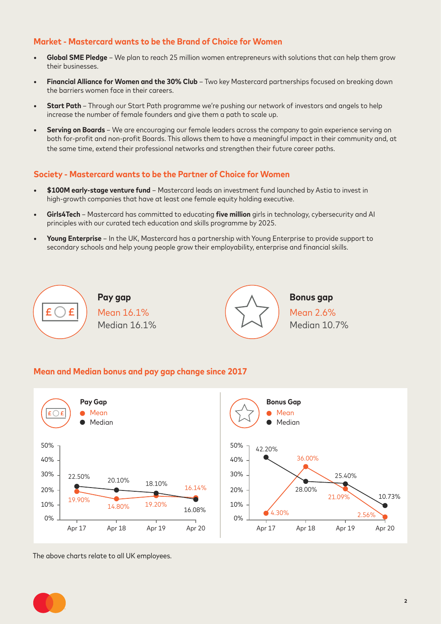## **Market - Mastercard wants to be the Brand of Choice for Women**

- **• Global SME Pledge** We plan to reach 25 million women entrepreneurs with solutions that can help them grow their businesses.
- **• Financial Alliance for Women and the 30% Club** Two key Mastercard partnerships focused on breaking down the barriers women face in their careers.
- **• Start Path**  Through our Start Path programme we're pushing our network of investors and angels to help increase the number of female founders and give them a path to scale up.
- **• Serving on Boards**  We are encouraging our female leaders across the company to gain experience serving on both for-profit and non-profit Boards. This allows them to have a meaningful impact in their community and, at the same time, extend their professional networks and strengthen their future career paths.

### **Society - Mastercard wants to be the Partner of Choice for Women**

- **• \$100M early-stage venture fund** Mastercard leads an investment fund launched by Astia to invest in high-growth companies that have at least one female equity holding executive.
- **• Girls4Tech**  Mastercard has committed to educating **five million** girls in technology, cybersecurity and AI principles with our curated tech education and skills programme by 2025.
- **• Young Enterprise** In the UK, Mastercard has a partnership with Young Enterprise to provide support to secondary schools and help young people grow their employability, enterprise and financial skills.



#### **Mean and Median bonus and pay gap change since 2017**



The above charts relate to all UK employees.